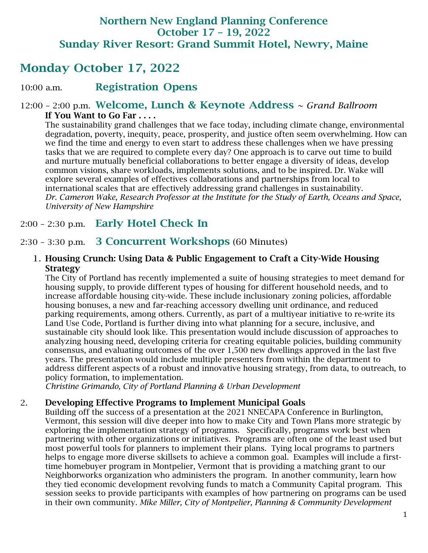# Northern New England Planning Conference October 17 – 19, 2022 Sunday River Resort: Grand Summit Hotel, Newry, Maine

# Monday October 17, 2022

### 10:00 a.m. Registration Opens

#### 12:00 – 2:00 p.m. Welcome, Lunch & Keynote Address *~ Grand Ballroom* If You Want to Go Far . . . .

The sustainability grand challenges that we face today, including climate change, environmental degradation, poverty, inequity, peace, prosperity, and justice often seem overwhelming. How can we find the time and energy to even start to address these challenges when we have pressing tasks that we are required to complete every day? One approach is to carve out time to build and nurture mutually beneficial collaborations to better engage a diversity of ideas, develop common visions, share workloads, implements solutions, and to be inspired. Dr. Wake will explore several examples of effectives collaborations and partnerships from local to international scales that are effectively addressing grand challenges in sustainability. *Dr. Cameron Wake, Research Professor at the Institute for the Study of Earth, Oceans and Space, University of New Hampshire*

### 2:00 – 2:30 p.m. Early Hotel Check In

### 2:30 – 3:30 p.m. 3 Concurrent Workshops (60 Minutes)

#### 1. Housing Crunch: Using Data & Public Engagement to Craft a City-Wide Housing **Strategy**

The City of Portland has recently implemented a suite of housing strategies to meet demand for housing supply, to provide different types of housing for different household needs, and to increase affordable housing city-wide. These include inclusionary zoning policies, affordable housing bonuses, a new and far-reaching accessory dwelling unit ordinance, and reduced parking requirements, among others. Currently, as part of a multiyear initiative to re-write its Land Use Code, Portland is further diving into what planning for a secure, inclusive, and sustainable city should look like. This presentation would include discussion of approaches to analyzing housing need, developing criteria for creating equitable policies, building community consensus, and evaluating outcomes of the over 1,500 new dwellings approved in the last five years. The presentation would include multiple presenters from within the department to address different aspects of a robust and innovative housing strategy, from data, to outreach, to policy formation, to implementation.

*Christine Grimando, City of Portland Planning & Urban Development*

#### 2. Developing Effective Programs to Implement Municipal Goals

Building off the success of a presentation at the 2021 NNECAPA Conference in Burlington, Vermont, this session will dive deeper into how to make City and Town Plans more strategic by exploring the implementation strategy of programs. Specifically, programs work best when partnering with other organizations or initiatives. Programs are often one of the least used but most powerful tools for planners to implement their plans. Tying local programs to partners helps to engage more diverse skillsets to achieve a common goal. Examples will include a firsttime homebuyer program in Montpelier, Vermont that is providing a matching grant to our Neighborworks organization who administers the program. In another community, learn how they tied economic development revolving funds to match a Community Capital program. This session seeks to provide participants with examples of how partnering on programs can be used in their own community. *Mike Miller, City of Montpelier, Planning & Community Development*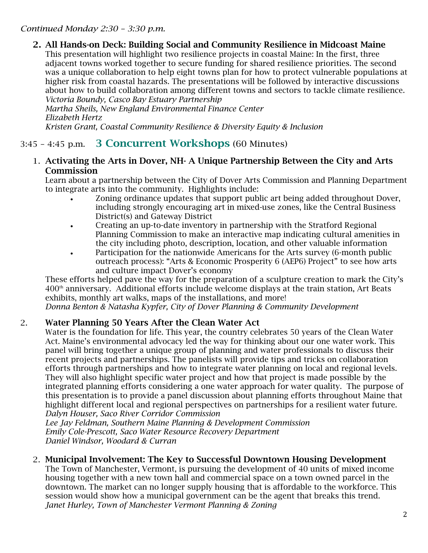#### *Continued Monday 2:30 – 3:30 p.m.*

2. All Hands-on Deck: Building Social and Community Resilience in Midcoast Maine This presentation will highlight two resilience projects in coastal Maine: In the first, three adjacent towns worked together to secure funding for shared resilience priorities. The second was a unique collaboration to help eight towns plan for how to protect vulnerable populations at higher risk from coastal hazards. The presentations will be followed by interactive discussions about how to build collaboration among different towns and sectors to tackle climate resilience. *Victoria Boundy, Casco Bay Estuary Partnership*

*Martha Sheils, New England Environmental Finance Center Elizabeth Hertz Kristen Grant, Coastal Community Resilience & Diversity Equity & Inclusion*

## 3:45 – 4:45 p.m. 3 Concurrent Workshops (60 Minutes)

#### 1. Activating the Arts in Dover, NH- A Unique Partnership Between the City and Arts **Commission**

Learn about a partnership between the City of Dover Arts Commission and Planning Department to integrate arts into the community. Highlights include:

- Zoning ordinance updates that support public art being added throughout Dover, including strongly encouraging art in mixed-use zones, like the Central Business District(s) and Gateway District
- Creating an up-to-date inventory in partnership with the Stratford Regional Planning Commission to make an interactive map indicating cultural amenities in the city including photo, description, location, and other valuable information
- Participation for the nationwide Americans for the Arts survey (6-month public outreach process): "Arts & Economic Prosperity 6 (AEP6) Project" to see how arts and culture impact Dover's economy

These efforts helped pave the way for the preparation of a sculpture creation to mark the City's 400th anniversary. Additional efforts include welcome displays at the train station, Art Beats exhibits, monthly art walks, maps of the installations, and more!

*Donna Benton & Natasha Kypfer, City of Dover Planning & Community Development* 

#### 2. Water Planning 50 Years After the Clean Water Act

Water is the foundation for life. This year, the country celebrates 50 years of the Clean Water Act. Maine's environmental advocacy led the way for thinking about our one water work. This panel will bring together a unique group of planning and water professionals to discuss their recent projects and partnerships. The panelists will provide tips and tricks on collaboration efforts through partnerships and how to integrate water planning on local and regional levels. They will also highlight specific water project and how that project is made possible by the integrated planning efforts considering a one water approach for water quality. The purpose of this presentation is to provide a panel discussion about planning efforts throughout Maine that highlight different local and regional perspectives on partnerships for a resilient water future. *Dalyn Houser, Saco River Corridor Commission*

*Lee Jay Feldman, Southern Maine Planning & Development Commission Emily Cole-Prescott, Saco Water Resource Recovery Department Daniel Windsor, Woodard & Curran*

#### 2. Municipal Involvement: The Key to Successful Downtown Housing Development

The Town of Manchester, Vermont, is pursuing the development of 40 units of mixed income housing together with a new town hall and commercial space on a town owned parcel in the downtown. The market can no longer supply housing that is affordable to the workforce. This session would show how a municipal government can be the agent that breaks this trend. *Janet Hurley, Town of Manchester Vermont Planning & Zoning*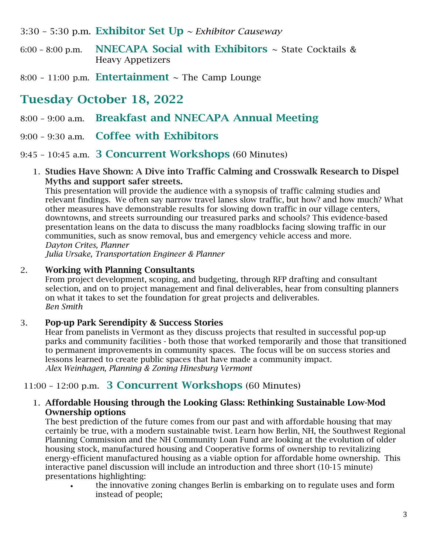- 3:30 5:30 p.m. Exhibitor Set Up *~ Exhibitor Causeway*
- $6:00 8:00$  p.m. NNECAPA Social with Exhibitors  $\sim$  State Cocktails & Heavy Appetizers
- 8:00 11:00 p.m. **Entertainment**  $\sim$  The Camp Lounge

# Tuesday October 18, 2022

- 8:00 9:00 a.m. Breakfast and NNECAPA Annual Meeting
- 9:00 9:30 a.m. Coffee with Exhibitors

9:45 – 10:45 a.m. 3 Concurrent Workshops (60 Minutes)

1. Studies Have Shown: A Dive into Traffic Calming and Crosswalk Research to Dispel Myths and support safer streets.

This presentation will provide the audience with a synopsis of traffic calming studies and relevant findings. We often say narrow travel lanes slow traffic, but how? and how much? What other measures have demonstrable results for slowing down traffic in our village centers, downtowns, and streets surrounding our treasured parks and schools? This evidence-based presentation leans on the data to discuss the many roadblocks facing slowing traffic in our communities, such as snow removal, bus and emergency vehicle access and more. *Dayton Crites, Planner*

*Julia Ursake, Transportation Engineer & Planner*

#### 2. Working with Planning Consultants

From project development, scoping, and budgeting, through RFP drafting and consultant selection, and on to project management and final deliverables, hear from consulting planners on what it takes to set the foundation for great projects and deliverables. *Ben Smith*

#### 3. Pop-up Park Serendipity & Success Stories

Hear from panelists in Vermont as they discuss projects that resulted in successful pop-up parks and community facilities - both those that worked temporarily and those that transitioned to permanent improvements in community spaces. The focus will be on success stories and lessons learned to create public spaces that have made a community impact. *Alex Weinhagen, Planning & Zoning Hinesburg Vermont*

## 11:00 – 12:00 p.m. 3 Concurrent Workshops (60 Minutes)

#### 1. Affordable Housing through the Looking Glass: Rethinking Sustainable Low-Mod Ownership options

The best prediction of the future comes from our past and with affordable housing that may certainly be true, with a modern sustainable twist. Learn how Berlin, NH, the Southwest Regional Planning Commission and the NH Community Loan Fund are looking at the evolution of older housing stock, manufactured housing and Cooperative forms of ownership to revitalizing energy-efficient manufactured housing as a viable option for affordable home ownership. This interactive panel discussion will include an introduction and three short (10-15 minute) presentations highlighting:

• the innovative zoning changes Berlin is embarking on to regulate uses and form instead of people;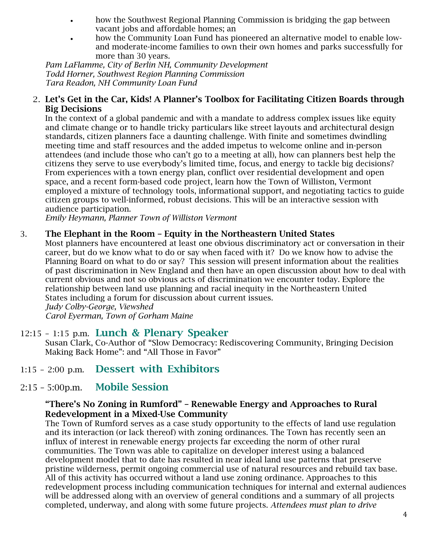- how the Southwest Regional Planning Commission is bridging the gap between vacant jobs and affordable homes; an
- how the Community Loan Fund has pioneered an alternative model to enable lowand moderate-income families to own their own homes and parks successfully for more than 30 years.

*Pam LaFlamme, City of Berlin NH, Community Development Todd Horner, Southwest Region Planning Commission Tara Readon, NH Community Loan Fund* 

#### 2. Let's Get in the Car, Kids! A Planner's Toolbox for Facilitating Citizen Boards through Big Decisions

In the context of a global pandemic and with a mandate to address complex issues like equity and climate change or to handle tricky particulars like street layouts and architectural design standards, citizen planners face a daunting challenge. With finite and sometimes dwindling meeting time and staff resources and the added impetus to welcome online and in-person attendees (and include those who can't go to a meeting at all), how can planners best help the citizens they serve to use everybody's limited time, focus, and energy to tackle big decisions? From experiences with a town energy plan, conflict over residential development and open space, and a recent form-based code project, learn how the Town of Williston, Vermont employed a mixture of technology tools, informational support, and negotiating tactics to guide citizen groups to well-informed, robust decisions. This will be an interactive session with audience participation.

*Emily Heymann, Planner Town of Williston Vermont*

#### 3. The Elephant in the Room – Equity in the Northeastern United States

Most planners have encountered at least one obvious discriminatory act or conversation in their career, but do we know what to do or say when faced with it? Do we know how to advise the Planning Board on what to do or say? This session will present information about the realities of past discrimination in New England and then have an open discussion about how to deal with current obvious and not so obvious acts of discrimination we encounter today. Explore the relationship between land use planning and racial inequity in the Northeastern United States including a forum for discussion about current issues. *Judy Colby-George, Viewshed Carol Eyerman, Town of Gorham Maine*

12:15 – 1:15 p.m. Lunch & Plenary Speaker

Susan Clark, Co-Author of "Slow Democracy: Rediscovering Community, Bringing Decision Making Back Home": and "All Those in Favor"

- 1:15 2:00 p.m. Dessert with Exhibitors
- 2:15 5:00p.m. Mobile Session

#### "There's No Zoning in Rumford" – Renewable Energy and Approaches to Rural Redevelopment in a Mixed-Use Community

The Town of Rumford serves as a case study opportunity to the effects of land use regulation and its interaction (or lack thereof) with zoning ordinances. The Town has recently seen an influx of interest in renewable energy projects far exceeding the norm of other rural communities. The Town was able to capitalize on developer interest using a balanced development model that to date has resulted in near ideal land use patterns that preserve pristine wilderness, permit ongoing commercial use of natural resources and rebuild tax base. All of this activity has occurred without a land use zoning ordinance. Approaches to this redevelopment process including communication techniques for internal and external audiences will be addressed along with an overview of general conditions and a summary of all projects completed, underway, and along with some future projects. *Attendees must plan to drive*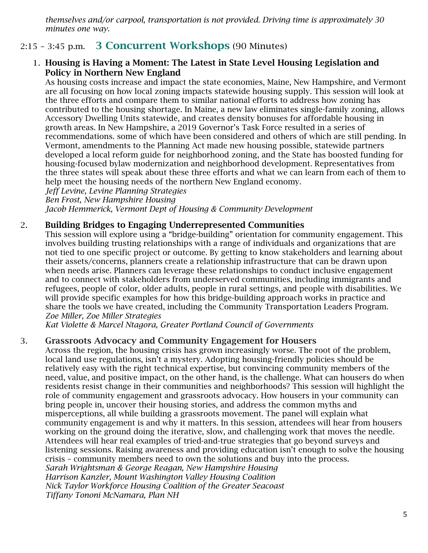*themselves and/or carpool, transportation is not provided. Driving time is approximately 30 minutes one way.*

# 2:15 – 3:45 p.m. 3 Concurrent Workshops (90 Minutes)

#### 1. Housing is Having a Moment: The Latest in State Level Housing Legislation and Policy in Northern New England

As housing costs increase and impact the state economies, Maine, New Hampshire, and Vermont are all focusing on how local zoning impacts statewide housing supply. This session will look at the three efforts and compare them to similar national efforts to address how zoning has contributed to the housing shortage. In Maine, a new law eliminates single-family zoning, allows Accessory Dwelling Units statewide, and creates density bonuses for affordable housing in growth areas. In New Hampshire, a 2019 Governor's Task Force resulted in a series of recommendations. some of which have been considered and others of which are still pending. In Vermont, amendments to the Planning Act made new housing possible, statewide partners developed a local reform guide for neighborhood zoning, and the State has boosted funding for housing-focused bylaw modernization and neighborhood development. Representatives from the three states will speak about these three efforts and what we can learn from each of them to help meet the housing needs of the northern New England economy.

*Jeff Levine, Levine Planning Strategies Ben Frost, New Hampshire Housing Jacob Hemmerick, Vermont Dept of Housing & Community Development*

#### 2. Building Bridges to Engaging Underrepresented Communities

This session will explore using a "bridge-building" orientation for community engagement. This involves building trusting relationships with a range of individuals and organizations that are not tied to one specific project or outcome. By getting to know stakeholders and learning about their assets/concerns, planners create a relationship infrastructure that can be drawn upon when needs arise. Planners can leverage these relationships to conduct inclusive engagement and to connect with stakeholders from underserved communities, including immigrants and refugees, people of color, older adults, people in rural settings, and people with disabilities. We will provide specific examples for how this bridge-building approach works in practice and share the tools we have created, including the Community Transportation Leaders Program. *Zoe Miller, Zoe Miller Strategies*

*Kat Violette & Marcel Ntagora, Greater Portland Council of Governments*

#### 3. Grassroots Advocacy and Community Engagement for Housers

Across the region, the housing crisis has grown increasingly worse. The root of the problem, local land use regulations, isn't a mystery. Adopting housing-friendly policies should be relatively easy with the right technical expertise, but convincing community members of the need, value, and positive impact, on the other hand, is the challenge. What can housers do when residents resist change in their communities and neighborhoods? This session will highlight the role of community engagement and grassroots advocacy. How housers in your community can bring people in, uncover their housing stories, and address the common myths and misperceptions, all while building a grassroots movement. The panel will explain what community engagement is and why it matters. In this session, attendees will hear from housers working on the ground doing the iterative, slow, and challenging work that moves the needle. Attendees will hear real examples of tried-and-true strategies that go beyond surveys and listening sessions. Raising awareness and providing education isn't enough to solve the housing crisis – community members need to own the solutions and buy into the process. *Sarah Wrightsman & George Reagan, New Hampshire Housing Harrison Kanzler, Mount Washington Valley Housing Coalition Nick Taylor Workforce Housing Coalition of the Greater Seacoast Tiffany Tononi McNamara, Plan NH*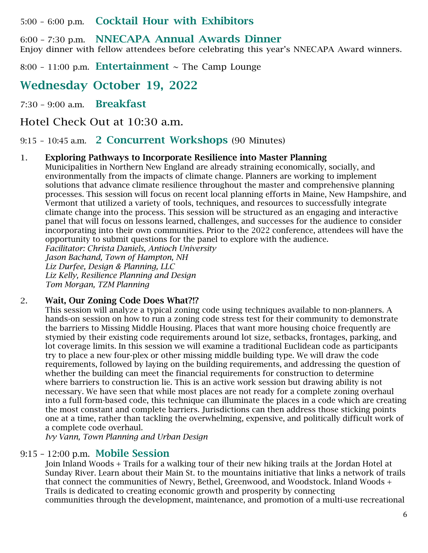5:00 – 6:00 p.m. Cocktail Hour with Exhibitors

6:00 – 7:30 p.m. NNECAPA Annual Awards Dinner Enjoy dinner with fellow attendees before celebrating this year's NNECAPA Award winners.

8:00 - 11:00 p.m. **Entertainment**  $\sim$  The Camp Lounge

Wednesday October 19, 2022

7:30 – 9:00 a.m. Breakfast

Hotel Check Out at 10:30 a.m.

9:15 – 10:45 a.m. 2 Concurrent Workshops (90 Minutes)

#### 1. Exploring Pathways to Incorporate Resilience into Master Planning

Municipalities in Northern New England are already straining economically, socially, and environmentally from the impacts of climate change. Planners are working to implement solutions that advance climate resilience throughout the master and comprehensive planning processes. This session will focus on recent local planning efforts in Maine, New Hampshire, and Vermont that utilized a variety of tools, techniques, and resources to successfully integrate climate change into the process. This session will be structured as an engaging and interactive panel that will focus on lessons learned, challenges, and successes for the audience to consider incorporating into their own communities. Prior to the 2022 conference, attendees will have the opportunity to submit questions for the panel to explore with the audience.

*Facilitator: Christa Daniels, Antioch University Jason Bachand, Town of Hampton, NH Liz Durfee, Design & Planning, LLC Liz Kelly, Resilience Planning and Design Tom Morgan, TZM Planning*

#### 2. Wait, Our Zoning Code Does What?!?

This session will analyze a typical zoning code using techniques available to non-planners. A hands-on session on how to run a zoning code stress test for their community to demonstrate the barriers to Missing Middle Housing. Places that want more housing choice frequently are stymied by their existing code requirements around lot size, setbacks, frontages, parking, and lot coverage limits. In this session we will examine a traditional Euclidean code as participants try to place a new four-plex or other missing middle building type. We will draw the code requirements, followed by laying on the building requirements, and addressing the question of whether the building can meet the financial requirements for construction to determine where barriers to construction lie. This is an active work session but drawing ability is not necessary. We have seen that while most places are not ready for a complete zoning overhaul into a full form-based code, this technique can illuminate the places in a code which are creating the most constant and complete barriers. Jurisdictions can then address those sticking points one at a time, rather than tackling the overwhelming, expensive, and politically difficult work of a complete code overhaul.

*Ivy Vann, Town Planning and Urban Design* 

### 9:15 – 12:00 p.m. Mobile Session

Join Inland Woods + Trails for a walking tour of their new hiking trails at the Jordan Hotel at Sunday River. Learn about their Main St. to the mountains initiative that links a network of trails that connect the communities of Newry, Bethel, Greenwood, and Woodstock. Inland Woods + Trails is dedicated to creating economic growth and prosperity by connecting communities through the development, maintenance, and promotion of a multi-use recreational